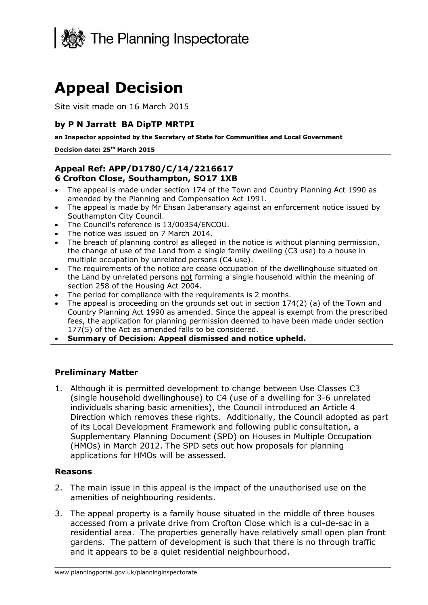

# **Appeal Decision**

Site visit made on 16 March 2015

#### **by P N Jarratt BA DipTP MRTPI**

**an Inspector appointed by the Secretary of State for Communities and Local Government**

#### **Decision date: 25th March 2015**

#### **Appeal Ref: APP/D1780/C/14/2216617 6 Crofton Close, Southampton, SO17 1XB**

- The appeal is made under section 174 of the Town and Country Planning Act 1990 as amended by the Planning and Compensation Act 1991.
- The appeal is made by Mr Ehsan Jaberansary against an enforcement notice issued by Southampton City Council.
- The Council's reference is 13/00354/ENCOU.
- The notice was issued on 7 March 2014.
- The breach of planning control as alleged in the notice is without planning permission, the change of use of the Land from a single family dwelling (C3 use) to a house in multiple occupation by unrelated persons (C4 use).
- The requirements of the notice are cease occupation of the dwellinghouse situated on the Land by unrelated persons not forming a single household within the meaning of section 258 of the Housing Act 2004.
- The period for compliance with the requirements is 2 months.
- The appeal is proceeding on the grounds set out in section  $174(2)$  (a) of the Town and Country Planning Act 1990 as amended. Since the appeal is exempt from the prescribed fees, the application for planning permission deemed to have been made under section 177(5) of the Act as amended falls to be considered.
- **Summary of Decision: Appeal dismissed and notice upheld.**

#### **Preliminary Matter**

1. Although it is permitted development to change between Use Classes C3 (single household dwellinghouse) to C4 (use of a dwelling for 3-6 unrelated individuals sharing basic amenities), the Council introduced an Article 4 Direction which removes these rights. Additionally, the Council adopted as part of its Local Development Framework and following public consultation, a Supplementary Planning Document (SPD) on Houses in Multiple Occupation (HMOs) in March 2012. The SPD sets out how proposals for planning applications for HMOs will be assessed.

#### **Reasons**

- 2. The main issue in this appeal is the impact of the unauthorised use on the amenities of neighbouring residents.
- 3. The appeal property is a family house situated in the middle of three houses accessed from a private drive from Crofton Close which is a cul-de-sac in a residential area. The properties generally have relatively small open plan front gardens. The pattern of development is such that there is no through traffic and it appears to be a quiet residential neighbourhood.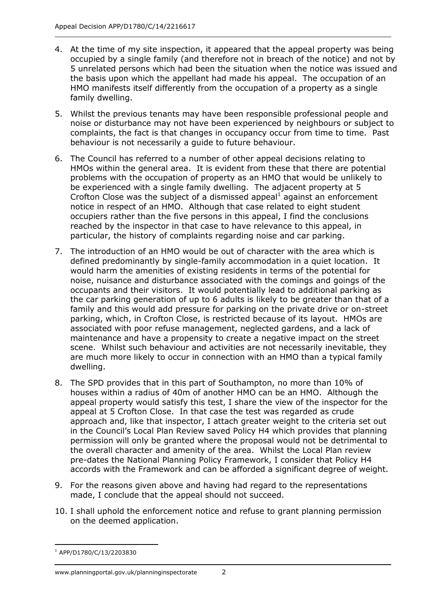- 4. At the time of my site inspection, it appeared that the appeal property was being occupied by a single family (and therefore not in breach of the notice) and not by 5 unrelated persons which had been the situation when the notice was issued and the basis upon which the appellant had made his appeal. The occupation of an HMO manifests itself differently from the occupation of a property as a single family dwelling.
- 5. Whilst the previous tenants may have been responsible professional people and noise or disturbance may not have been experienced by neighbours or subject to complaints, the fact is that changes in occupancy occur from time to time. Past behaviour is not necessarily a guide to future behaviour.
- 6. The Council has referred to a number of other appeal decisions relating to HMOs within the general area. It is evident from these that there are potential problems with the occupation of property as an HMO that would be unlikely to be experienced with a single family dwelling. The adjacent property at 5 Crofton Close was the subject of a dismissed appeal $1$  against an enforcement notice in respect of an HMO. Although that case related to eight student occupiers rather than the five persons in this appeal, I find the conclusions reached by the inspector in that case to have relevance to this appeal, in particular, the history of complaints regarding noise and car parking.
- 7. The introduction of an HMO would be out of character with the area which is defined predominantly by single-family accommodation in a quiet location. It would harm the amenities of existing residents in terms of the potential for noise, nuisance and disturbance associated with the comings and goings of the occupants and their visitors. It would potentially lead to additional parking as the car parking generation of up to 6 adults is likely to be greater than that of a family and this would add pressure for parking on the private drive or on-street parking, which, in Crofton Close, is restricted because of its layout. HMOs are associated with poor refuse management, neglected gardens, and a lack of maintenance and have a propensity to create a negative impact on the street scene. Whilst such behaviour and activities are not necessarily inevitable, they are much more likely to occur in connection with an HMO than a typical family dwelling.
- 8. The SPD provides that in this part of Southampton, no more than 10% of houses within a radius of 40m of another HMO can be an HMO. Although the appeal property would satisfy this test, I share the view of the inspector for the appeal at 5 Crofton Close. In that case the test was regarded as crude approach and, like that inspector, I attach greater weight to the criteria set out in the Council's Local Plan Review saved Policy H4 which provides that planning permission will only be granted where the proposal would not be detrimental to the overall character and amenity of the area. Whilst the Local Plan review pre-dates the National Planning Policy Framework, I consider that Policy H4 accords with the Framework and can be afforded a significant degree of weight.
- 9. For the reasons given above and having had regard to the representations made, I conclude that the appeal should not succeed.
- 10. I shall uphold the enforcement notice and refuse to grant planning permission on the deemed application.

<sup>-</sup><sup>1</sup> APP/D1780/C/13/2203830